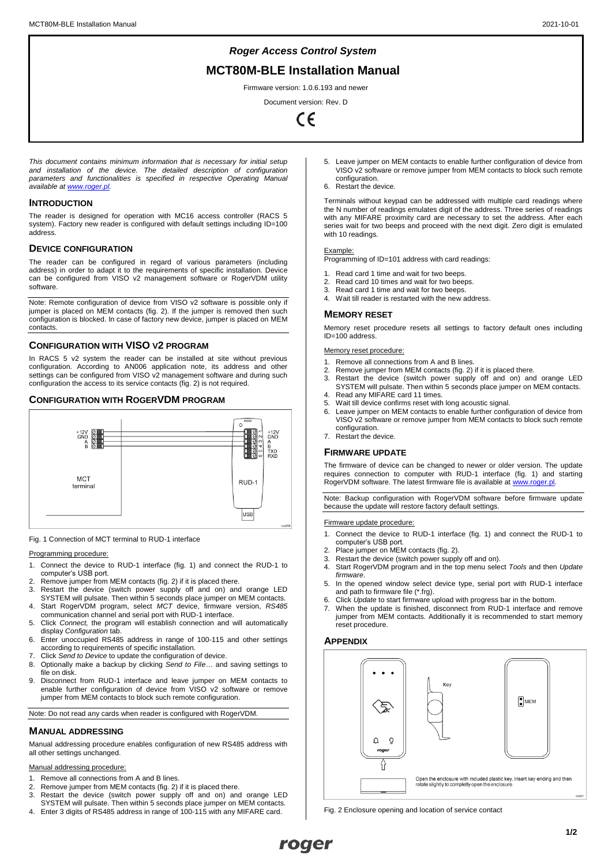# *Roger Access Control System*

# **MCT80M-BLE Installation Manual**

Firmware version: 1.0.6.193 and newer

Document version: Rev. D  $\epsilon$ 

*This document contains minimum information that is necessary for initial setup and installation of the device. The detailed description of configuration parameters and functionalities is specified in respective Operating Manual available a[t www.roger.pl.](http://www.roger.pl/)*

## **INTRODUCTION**

The reader is designed for operation with MC16 access controller (RACS 5 system). Factory new reader is configured with default settings including ID=100 address.

## **DEVICE CONFIGURATION**

The reader can be configured in regard of various parameters (including address) in order to adapt it to the requirements of specific installation. Device can be configured from VISO v2 management software or RogerVDM utility software.

Note: Remote configuration of device from VISO v2 software is possible only if jumper is placed on MEM contacts (fig. 2). If the jumper is removed then such configuration is blocked. In case of factory new device, jumper is placed on MEM contacts.

## **CONFIGURATION WITH VISO V2 PROGRAM**

In RACS 5 v2 system the reader can be installed at site without previous configuration. According to AN006 application note, its address and other settings can be configured from VISO v2 management software and during such configuration the access to its service contacts (fig. 2) is not required.

## **CONFIGURATION WITH ROGERVDM PROGRAM**



Fig. 1 Connection of MCT terminal to RUD-1 interface

#### Programming procedure:

- 1. Connect the device to RUD-1 interface (fig. 1) and connect the RUD-1 to computer's USB port.
- 2. Remove jumper from MEM contacts (fig. 2) if it is placed there.<br>3. Restart the device (switch power supply off and on) and
- Restart the device (switch power supply off and on) and orange LED SYSTEM will pulsate. Then within 5 seconds place jumper on MEM contacts. 4. Start RogerVDM program, select *MCT* device, firmware version, *RS485*
- communication channel and serial port with RUD-1 interface. 5. Click *Connect,* the program will establish connection and will automatically
- display *Configuration* tab.
- 6. Enter unoccupied RS485 address in range of 100-115 and other settings according to requirements of specific installation. 7. Click *Send to Device* to update the configuration of device.
- 8. Optionally make a backup by clicking *Send to File…* and saving settings to file on disk.
- 9. Disconnect from RUD-1 interface and leave jumper on MEM contacts to enable further configuration of device from VISO v2 software or remove jumper from MEM contacts to block such remote configuration.

Note: Do not read any cards when reader is configured with RogerVDM.

### **MANUAL ADDRESSING**

Manual addressing procedure enables configuration of new RS485 address with all other settings unchanged.

## Manual addressing pro

- Remove all connections from A and B lines.
- 2. Remove jumper from MEM contacts (fig. 2) if it is placed there.
- 3. Restart the device (switch power supply off and on) and orange LED SYSTEM will pulsate. Then within 5 seconds place jumper on MEM contacts.
- 4. Enter 3 digits of RS485 address in range of 100-115 with any MIFARE card.
- 5. Leave jumper on MEM contacts to enable further configuration of device from VISO v2 software or remove jumper from MEM contacts to block such remote configuration.
- 6. Restart the device.

Terminals without keypad can be addressed with multiple card readings where the N number of readings emulates digit of the address. Three series of readings with any MIFARE proximity card are necessary to set the address. After each series wait for two beeps and proceed with the next digit. Zero digit is emulated with 10 readings.

#### Example:

Programming of ID=101 address with card readings:

- 
- 1. Read card 1 time and wait for two beeps.<br>2. Read card 10 times and wait for two bee 2. Read card 10 times and wait for two beeps.<br>3. Read card 1 time and wait for two beeps.
- 3. Read card 1 time and wait for two beeps.<br>4. Wait till reader is restarted with the new a
	- Wait till reader is restarted with the new address.

## **MEMORY RESET**

Memory reset procedure resets all settings to factory default ones including ID=100 address.

Memory reset procedure:

- 1. Remove all connections from A and B lines.
- 2. Remove jumper from MEM contacts (fig. 2) if it is placed there.
- 3. Restart the device (switch power supply off and on) and orange LED SYSTEM will pulsate. Then within 5 seconds place jumper on MEM contacts. 4. Read any MIFARE card 11 times.
- 
- 5. Wait till device confirms reset with long acoustic signal. Leave jumper on MEM contacts to enable further configuration of device from VISO v2 software or remove jumper from MEM contacts to block such remote configuration.
- 7. Restart the device.

# **FIRMWARE UPDATE**

The firmware of device can be changed to newer or older version. The update requires connection to computer with RUD-1 interface (fig. 1) and starting RogerVDM software. The latest firmware file is available at www.roger.pl

Note: Backup configuration with RogerVDM software before firmware update because the update will restore factory default settings.

## Firmware update procedure:

- 1. Connect the device to RUD-1 interface (fig. 1) and connect the RUD-1 to computer's USB port.
- 2. Place jumper on MEM contacts (fig. 2).<br>3. Restart the device (switch nower suppl
- Restart the device (switch power supply off and on).
- 4. Start RogerVDM program and in the top menu select *Tools* and then *Update firmware*.
- 5. In the opened window select device type, serial port with RUD-1 interface and path to firmware file (\*.frg).
- 6. Click *Update* to start firmware upload with progress bar in the bottom.
- When the update is finished, disconnect from RUD-1 interface and remove jumper from MEM contacts. Additionally it is recommended to start memory reset procedure.

## **APPENDIX**



Fig. 2 Enclosure opening and location of service contact